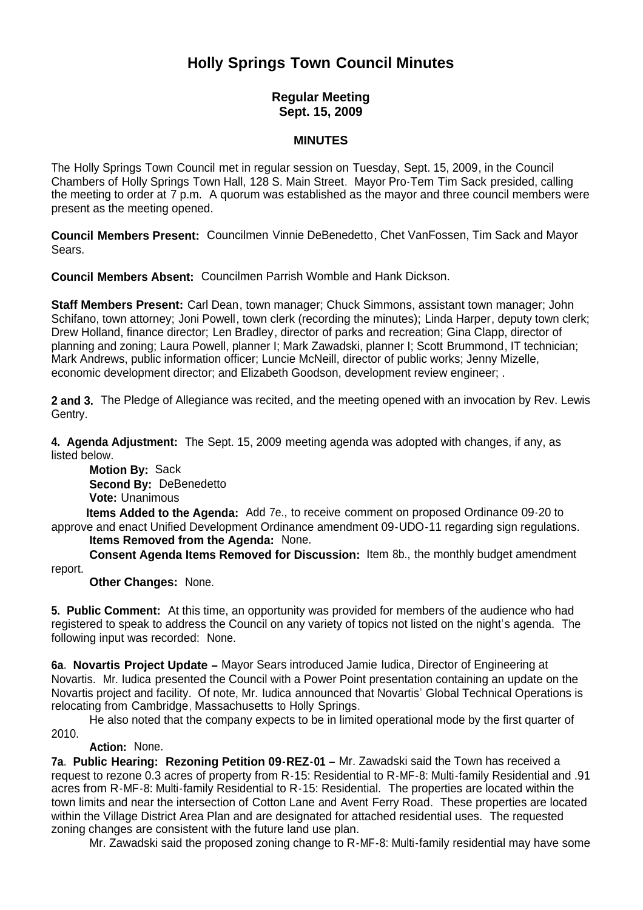# **Holly Springs Town Council Minutes**

## **Regular Meeting Sept. 15, 2009**

### **MINUTES**

The Holly Springs Town Council met in regular session on Tuesday, Sept. 15, 2009, in the Council Chambers of Holly Springs Town Hall, 128 S. Main Street. Mayor Pro-Tem Tim Sack presided, calling the meeting to order at 7 p.m. A quorum was established as the mayor and three council members were present as the meeting opened.

**Council Members Present:** Councilmen Vinnie DeBenedetto, Chet VanFossen, Tim Sack and Mayor Sears.

**Council Members Absent:** Councilmen Parrish Womble and Hank Dickson.

**Staff Members Present:** Carl Dean, town manager; Chuck Simmons, assistant town manager; John Schifano, town attorney; Joni Powell, town clerk (recording the minutes); Linda Harper, deputy town clerk; Drew Holland, finance director; Len Bradley, director of parks and recreation; Gina Clapp, director of planning and zoning; Laura Powell, planner I; Mark Zawadski, planner I; Scott Brummond, IT technician; Mark Andrews, public information officer; Luncie McNeill, director of public works; Jenny Mizelle, economic development director; and Elizabeth Goodson, development review engineer; .

**2 and 3.** The Pledge of Allegiance was recited, and the meeting opened with an invocation by Rev. Lewis Gentry.

**4. Agenda Adjustment:** The Sept. 15, 2009 meeting agenda was adopted with changes, if any, as listed below.

**Motion By: Sack Second By:** DeBenedetto **Vote:** Unanimous

 **Items Added to the Agenda:** Add 7e., to receive comment on proposed Ordinance 09-20 to approve and enact Unified Development Ordinance amendment 09-UDO-11 regarding sign regulations.

**Items Removed from the Agenda:** None.

 **Consent Agenda Items Removed for Discussion:** Item 8b., the monthly budget amendment report.

**Other Changes:** None.

**5. Public Comment:** At this time, an opportunity was provided for members of the audience who had registered to speak to address the Council on any variety of topics not listed on the night's agenda. The following input was recorded: None.

**6a. Novartis Project Update –** Mayor Sears introduced Jamie Iudica, Director of Engineering at Novartis. Mr. Iudica presented the Council with a Power Point presentation containing an update on the Novartis project and facility. Of note, Mr. Iudica announced that Novartis' Global Technical Operations is relocating from Cambridge, Massachusetts to Holly Springs.

 He also noted that the company expects to be in limited operational mode by the first quarter of 2010.

## **Action:** None.

**7a. Public Hearing: Rezoning Petition 09-REZ-01 –** Mr. Zawadski said the Town has received a request to rezone 0.3 acres of property from R-15: Residential to R-MF-8: Multi-family Residential and .91 acres from R-MF-8: Multi-family Residential to R-15: Residential. The properties are located within the town limits and near the intersection of Cotton Lane and Avent Ferry Road. These properties are located within the Village District Area Plan and are designated for attached residential uses. The requested zoning changes are consistent with the future land use plan.

Mr. Zawadski said the proposed zoning change to R-MF-8: Multi-family residential may have some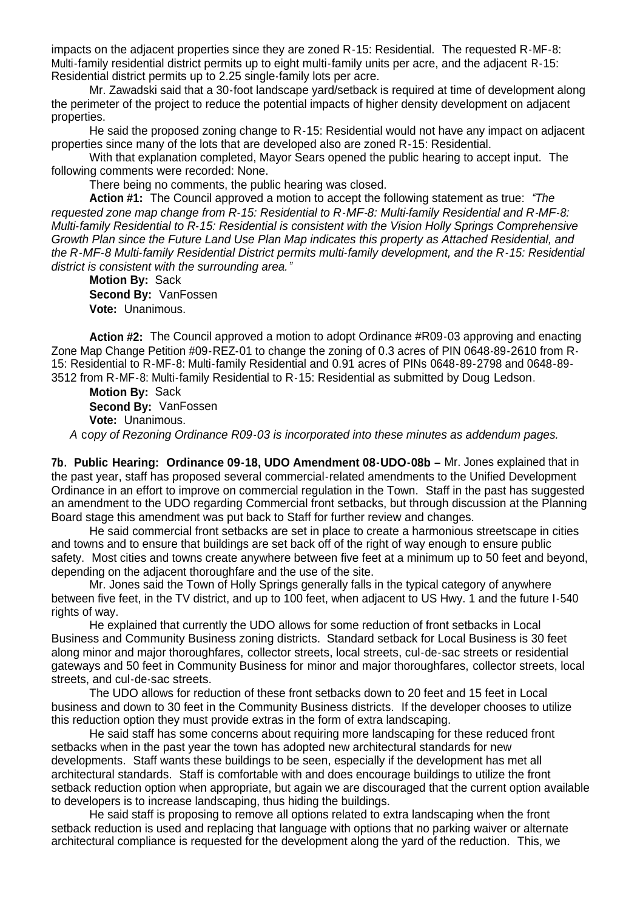impacts on the adjacent properties since they are zoned R-15: Residential. The requested R-MF-8: Multi-family residential district permits up to eight multi-family units per acre, and the adjacent R-15: Residential district permits up to 2.25 single-family lots per acre.

 Mr. Zawadski said that a 30-foot landscape yard/setback is required at time of development along the perimeter of the project to reduce the potential impacts of higher density development on adjacent properties.

 He said the proposed zoning change to R-15: Residential would not have any impact on adjacent properties since many of the lots that are developed also are zoned R-15: Residential.

With that explanation completed, Mayor Sears opened the public hearing to accept input. The following comments were recorded: None.

There being no comments, the public hearing was closed.

 **Action #1:** The Council approved a motion to accept the following statement as true: *"The requested zone map change from R-15: Residential to R-MF-8: Multi-family Residential and R-MF-8: Multi-family Residential to R-15: Residential is consistent with the Vision Holly Springs Comprehensive Growth Plan since the Future Land Use Plan Map indicates this property as Attached Residential, and the R-MF-8 Multi-family Residential District permits multi-family development, and the R-15: Residential district is consistent with the surrounding area."*

**Motion By:** Sack **Second By:** VanFossen **Vote:** Unanimous.

**Action #2:** The Council approved a motion to adopt Ordinance #R09-03 approving and enacting Zone Map Change Petition #09-REZ-01 to change the zoning of 0.3 acres of PIN 0648-89-2610 from R-15: Residential to R-MF-8: Multi-family Residential and 0.91 acres of PINs 0648-89-2798 and 0648-89- 3512 from R-MF-8: Multi-family Residential to R-15: Residential as submitted by Doug Ledson.

**Motion By:** Sack **Second By:** VanFossen **Vote:** Unanimous.

*A* c*opy of Rezoning Ordinance R09-03 is incorporated into these minutes as addendum pages.*

**7b. Public Hearing: Ordinance 09-18, UDO Amendment 08-UDO-08b –** Mr. Jones explained that in the past year, staff has proposed several commercial-related amendments to the Unified Development Ordinance in an effort to improve on commercial regulation in the Town. Staff in the past has suggested an amendment to the UDO regarding Commercial front setbacks, but through discussion at the Planning Board stage this amendment was put back to Staff for further review and changes.

 He said commercial front setbacks are set in place to create a harmonious streetscape in cities and towns and to ensure that buildings are set back off of the right of way enough to ensure public safety. Most cities and towns create anywhere between five feet at a minimum up to 50 feet and beyond, depending on the adjacent thoroughfare and the use of the site.

 Mr. Jones said the Town of Holly Springs generally falls in the typical category of anywhere between five feet, in the TV district, and up to 100 feet, when adjacent to US Hwy. 1 and the future I-540 rights of way.

 He explained that currently the UDO allows for some reduction of front setbacks in Local Business and Community Business zoning districts. Standard setback for Local Business is 30 feet along minor and major thoroughfares, collector streets, local streets, cul-de-sac streets or residential gateways and 50 feet in Community Business for minor and major thoroughfares, collector streets, local streets, and cul-de-sac streets.

 The UDO allows for reduction of these front setbacks down to 20 feet and 15 feet in Local business and down to 30 feet in the Community Business districts. If the developer chooses to utilize this reduction option they must provide extras in the form of extra landscaping.

 He said staff has some concerns about requiring more landscaping for these reduced front setbacks when in the past year the town has adopted new architectural standards for new developments. Staff wants these buildings to be seen, especially if the development has met all architectural standards. Staff is comfortable with and does encourage buildings to utilize the front setback reduction option when appropriate, but again we are discouraged that the current option available to developers is to increase landscaping, thus hiding the buildings.

 He said staff is proposing to remove all options related to extra landscaping when the front setback reduction is used and replacing that language with options that no parking waiver or alternate architectural compliance is requested for the development along the yard of the reduction. This, we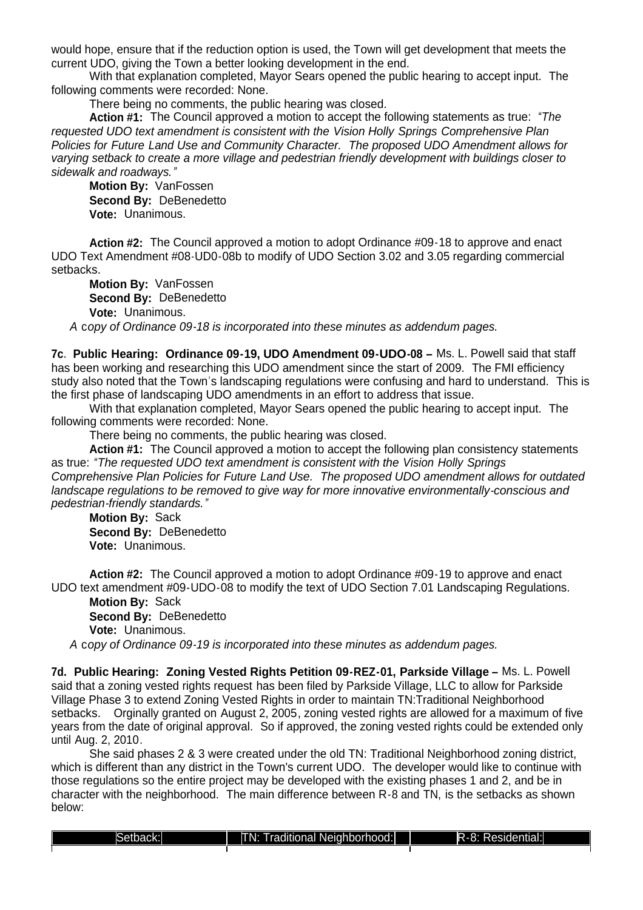would hope, ensure that if the reduction option is used, the Town will get development that meets the current UDO, giving the Town a better looking development in the end.

With that explanation completed, Mayor Sears opened the public hearing to accept input. The following comments were recorded: None.

There being no comments, the public hearing was closed.

 **Action #1:** The Council approved a motion to accept the following statements as true: *"The requested UDO text amendment is consistent with the Vision Holly Springs Comprehensive Plan Policies for Future Land Use and Community Character. The proposed UDO Amendment allows for varying setback to create a more village and pedestrian friendly development with buildings closer to sidewalk and roadways."*

**Motion By:** VanFossen **Second By:** DeBenedetto **Vote:** Unanimous.

**Action #2:** The Council approved a motion to adopt Ordinance #09-18 to approve and enact UDO Text Amendment #08-UD0-08b to modify of UDO Section 3.02 and 3.05 regarding commercial setbacks.

**Motion By:** VanFossen **Second By:** DeBenedetto **Vote:** Unanimous.

*A* c*opy of Ordinance 09-18 is incorporated into these minutes as addendum pages.*

**7c. Public Hearing: Ordinance 09-19, UDO Amendment 09-UDO-08 –** Ms. L. Powell said that staff has been working and researching this UDO amendment since the start of 2009. The FMI efficiency study also noted that the Town's landscaping regulations were confusing and hard to understand. This is the first phase of landscaping UDO amendments in an effort to address that issue.

With that explanation completed, Mayor Sears opened the public hearing to accept input. The following comments were recorded: None.

There being no comments, the public hearing was closed.

 **Action #1:** The Council approved a motion to accept the following plan consistency statements as true: *"The requested UDO text amendment is consistent with the Vision Holly Springs Comprehensive Plan Policies for Future Land Use. The proposed UDO amendment allows for outdated landscape regulations to be removed to give way for more innovative environmentally-conscious and pedestrian-friendly standards."*

**Motion By:** Sack **Second By:** DeBenedetto **Vote:** Unanimous.

**Action #2:** The Council approved a motion to adopt Ordinance #09-19 to approve and enact UDO text amendment #09-UDO-08 to modify the text of UDO Section 7.01 Landscaping Regulations.

**Motion By:** Sack **Second By:** DeBenedetto **Vote:** Unanimous.

*A* c*opy of Ordinance 09-19 is incorporated into these minutes as addendum pages.*

**7d. Public Hearing: Zoning Vested Rights Petition 09-REZ-01, Parkside Village –** Ms. L. Powell said that a zoning vested rights request has been filed by Parkside Village, LLC to allow for Parkside Village Phase 3 to extend Zoning Vested Rights in order to maintain TN:Traditional Neighborhood setbacks. Orginally granted on August 2, 2005, zoning vested rights are allowed for a maximum of five years from the date of original approval. So if approved, the zoning vested rights could be extended only until Aug. 2, 2010.

 She said phases 2 & 3 were created under the old TN: Traditional Neighborhood zoning district, which is different than any district in the Town's current UDO. The developer would like to continue with those regulations so the entire project may be developed with the existing phases 1 and 2, and be in character with the neighborhood. The main difference between R-8 and TN, is the setbacks as shown below: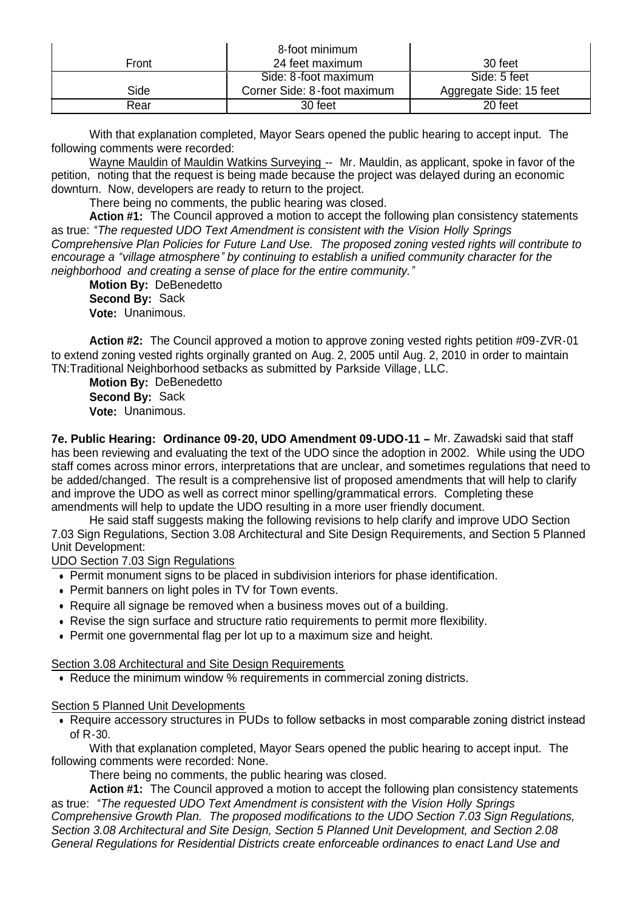| Front | 8-foot minimum<br>24 feet maximum | 30 feet                 |
|-------|-----------------------------------|-------------------------|
|       | Side: 8-foot maximum              | Side: 5 feet            |
| Side  | Corner Side: 8-foot maximum       | Aggregate Side: 15 feet |
| Rear  | 30 feet                           | 20 feet                 |

With that explanation completed, Mayor Sears opened the public hearing to accept input. The following comments were recorded:

Wayne Mauldin of Mauldin Watkins Surveying -- Mr. Mauldin, as applicant, spoke in favor of the petition, noting that the request is being made because the project was delayed during an economic downturn. Now, developers are ready to return to the project.

There being no comments, the public hearing was closed.

 **Action #1:** The Council approved a motion to accept the following plan consistency statements as true: *"The requested UDO Text Amendment is consistent with the Vision Holly Springs Comprehensive Plan Policies for Future Land Use. The proposed zoning vested rights will contribute to encourage a "village atmosphere" by continuing to establish a unified community character for the neighborhood and creating a sense of place for the entire community."*

**Motion By: DeBenedetto Second By:** Sack **Vote:** Unanimous.

**Action #2:** The Council approved a motion to approve zoning vested rights petition #09-ZVR-01 to extend zoning vested rights orginally granted on Aug. 2, 2005 until Aug. 2, 2010 in order to maintain TN:Traditional Neighborhood setbacks as submitted by Parkside Village, LLC.

**Motion By:** DeBenedetto **Second By:** Sack **Vote:** Unanimous.

**7e. Public Hearing: Ordinance 09-20, UDO Amendment 09-UDO-11 –** Mr. Zawadski said that staff has been reviewing and evaluating the text of the UDO since the adoption in 2002. While using the UDO staff comes across minor errors, interpretations that are unclear, and sometimes regulations that need to be added/changed. The result is a comprehensive list of proposed amendments that will help to clarify and improve the UDO as well as correct minor spelling/grammatical errors. Completing these amendments will help to update the UDO resulting in a more user friendly document.

He said staff suggests making the following revisions to help clarify and improve UDO Section 7.03 Sign Regulations, Section 3.08 Architectural and Site Design Requirements, and Section 5 Planned Unit Development:

UDO Section 7.03 Sign Regulations

- Permit monument signs to be placed in subdivision interiors for phase identification.
- Permit banners on light poles in TV for Town events.
- Require all signage be removed when a business moves out of a building.
- Revise the sign surface and structure ratio requirements to permit more flexibility.
- Permit one governmental flag per lot up to a maximum size and height.

Section 3.08 Architectural and Site Design Requirements

Reduce the minimum window % requirements in commercial zoning districts.

#### Section 5 Planned Unit Developments

• Require accessory structures in PUDs to follow setbacks in most comparable zoning district instead of R-30.

With that explanation completed, Mayor Sears opened the public hearing to accept input. The following comments were recorded: None.

There being no comments, the public hearing was closed.

 **Action #1:** The Council approved a motion to accept the following plan consistency statements as true: *"The requested UDO Text Amendment is consistent with the Vision Holly Springs Comprehensive Growth Plan. The proposed modifications to the UDO Section 7.03 Sign Regulations, Section 3.08 Architectural and Site Design, Section 5 Planned Unit Development, and Section 2.08 General Regulations for Residential Districts create enforceable ordinances to enact Land Use and*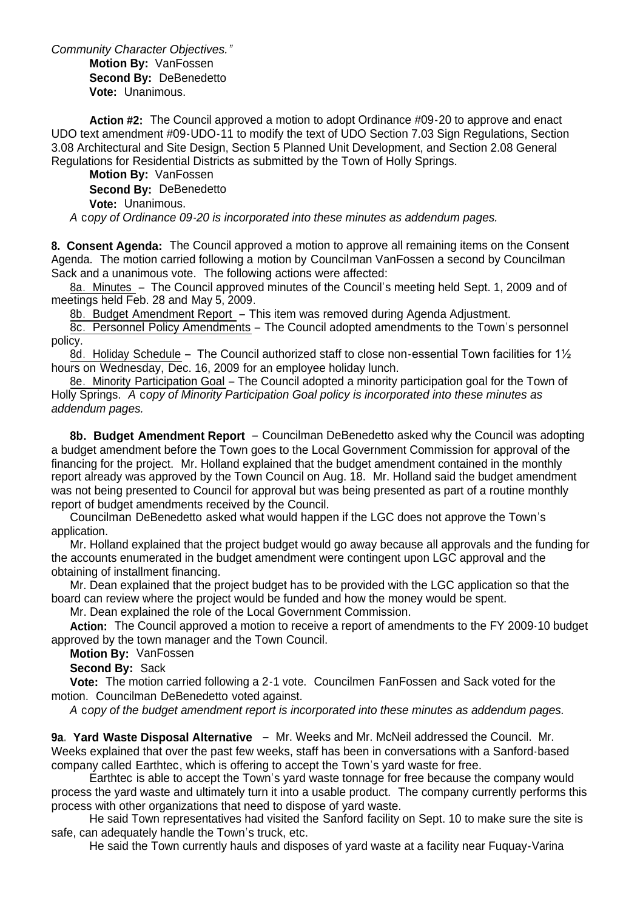*Community Character Objectives."* **Motion By:** VanFossen **Second By:** DeBenedetto **Vote:** Unanimous.

**Action #2:** The Council approved a motion to adopt Ordinance #09-20 to approve and enact UDO text amendment #09-UDO-11 to modify the text of UDO Section 7.03 Sign Regulations, Section 3.08 Architectural and Site Design, Section 5 Planned Unit Development, and Section 2.08 General Regulations for Residential Districts as submitted by the Town of Holly Springs.

**Motion By:** VanFossen **Second By:** DeBenedetto **Vote:** Unanimous.

*A* c*opy of Ordinance 09-20 is incorporated into these minutes as addendum pages.*

**8. Consent Agenda:** The Council approved a motion to approve all remaining items on the Consent Agenda. The motion carried following a motion by Councilman VanFossen a second by Councilman Sack and a unanimous vote. The following actions were affected:

8a. Minutes – The Council approved minutes of the Council's meeting held Sept. 1, 2009 and of meetings held Feb. 28 and May 5, 2009.

8b. Budget Amendment Report – This item was removed during Agenda Adjustment.

8c. Personnel Policy Amendments – The Council adopted amendments to the Town's personnel policy.

8d. Holiday Schedule – The Council authorized staff to close non-essential Town facilities for 1<sup>1/2</sup> hours on Wednesday, Dec. 16, 2009 for an employee holiday lunch.

8e. Minority Participation Goal – The Council adopted a minority participation goal for the Town of Holly Springs. *A* c*opy of Minority Participation Goal policy is incorporated into these minutes as addendum pages.*

**8b. Budget Amendment Report** – Councilman DeBenedetto asked why the Council was adopting a budget amendment before the Town goes to the Local Government Commission for approval of the financing for the project. Mr. Holland explained that the budget amendment contained in the monthly report already was approved by the Town Council on Aug. 18. Mr. Holland said the budget amendment was not being presented to Council for approval but was being presented as part of a routine monthly report of budget amendments received by the Council.

Councilman DeBenedetto asked what would happen if the LGC does not approve the Town's application.

Mr. Holland explained that the project budget would go away because all approvals and the funding for the accounts enumerated in the budget amendment were contingent upon LGC approval and the obtaining of installment financing.

Mr. Dean explained that the project budget has to be provided with the LGC application so that the board can review where the project would be funded and how the money would be spent.

Mr. Dean explained the role of the Local Government Commission.

**Action:** The Council approved a motion to receive a report of amendments to the FY 2009-10 budget approved by the town manager and the Town Council.

**Motion By:** VanFossen

**Second By:** Sack

**Vote:** The motion carried following a 2-1 vote. Councilmen FanFossen and Sack voted for the motion. Councilman DeBenedetto voted against.

*A* c*opy of the budget amendment report is incorporated into these minutes as addendum pages.*

**9a. Yard Waste Disposal Alternative** – Mr. Weeks and Mr. McNeil addressed the Council. Mr. Weeks explained that over the past few weeks, staff has been in conversations with a Sanford-based company called Earthtec, which is offering to accept the Town's yard waste for free.

 Earthtec is able to accept the Town's yard waste tonnage for free because the company would process the yard waste and ultimately turn it into a usable product. The company currently performs this process with other organizations that need to dispose of yard waste.

 He said Town representatives had visited the Sanford facility on Sept. 10 to make sure the site is safe, can adequately handle the Town's truck, etc.

He said the Town currently hauls and disposes of yard waste at a facility near Fuquay-Varina